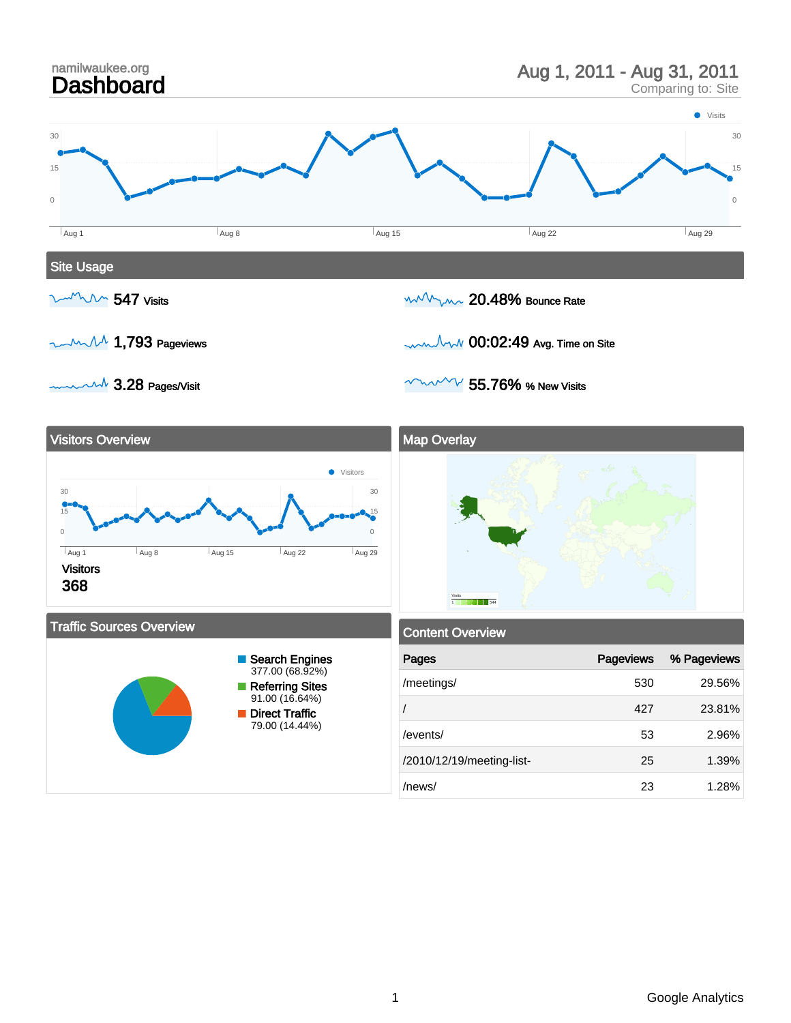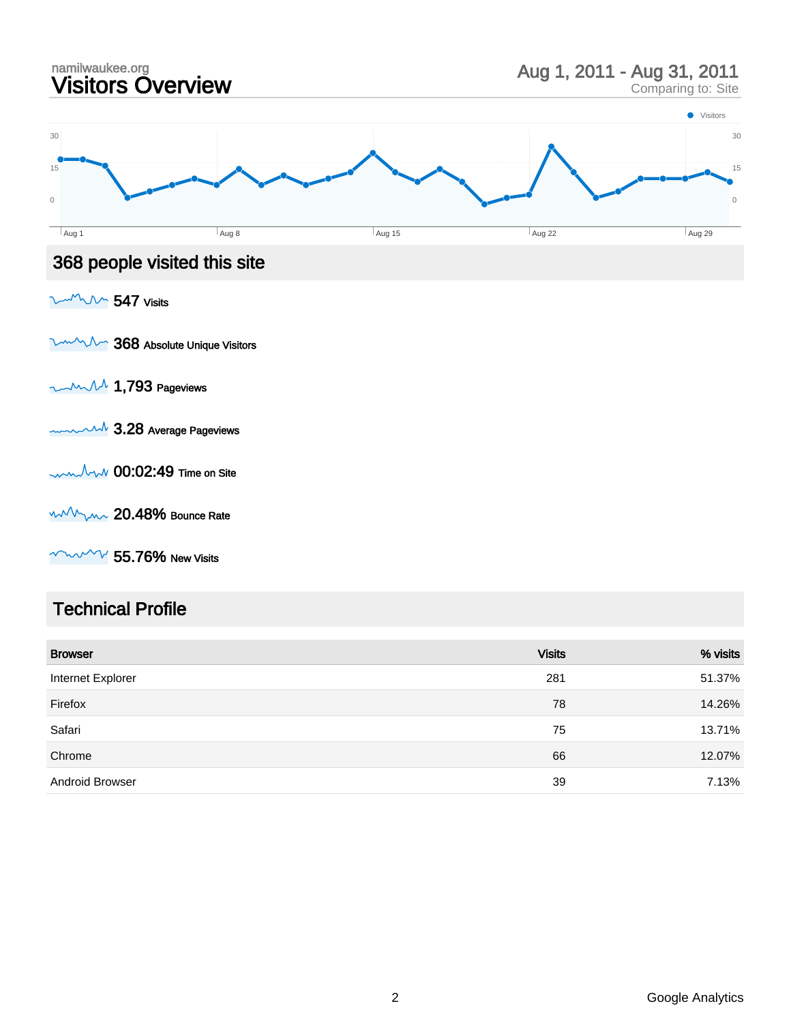

**WWW 55.76% New Visits** 

#### Technical Profile

| <b>Browser</b>         | <b>Visits</b> | % visits |
|------------------------|---------------|----------|
| Internet Explorer      | 281           | 51.37%   |
| Firefox                | 78            | 14.26%   |
| Safari                 | 75            | 13.71%   |
| Chrome                 | 66            | 12.07%   |
| <b>Android Browser</b> | 39            | 7.13%    |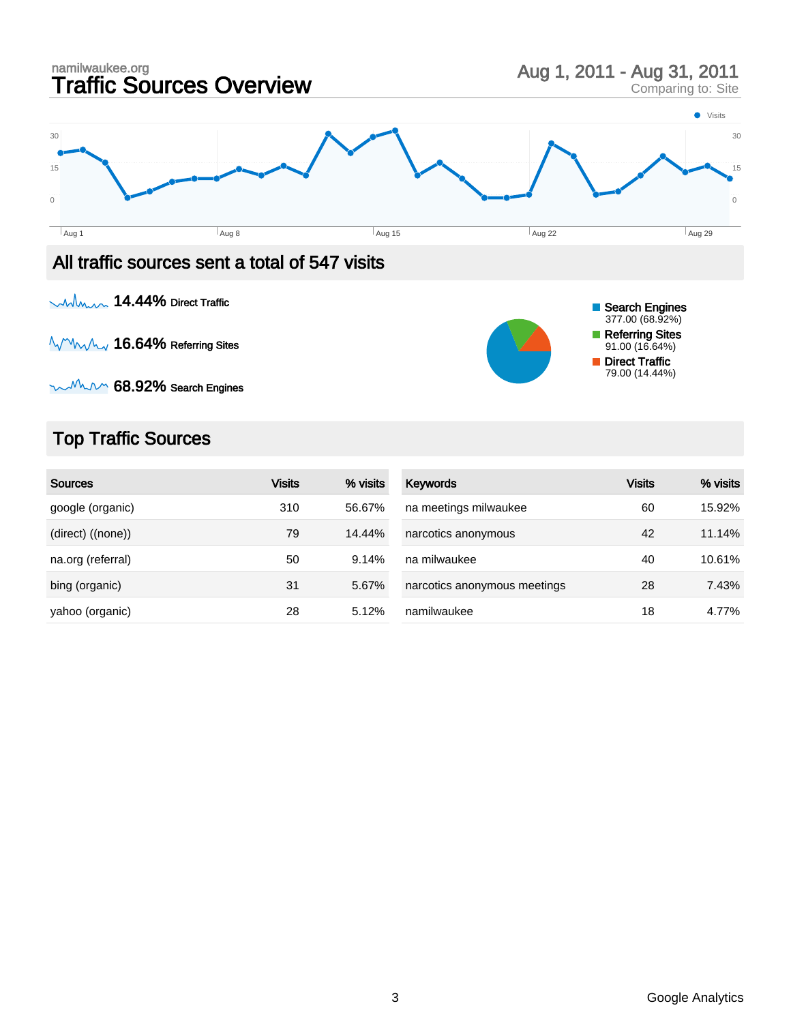

 $mM$  $\sim$  68.92% Search Engines

## Top Traffic Sources

| <b>Sources</b>    | <b>Visits</b> | % visits | Keywords                     | <b>Visits</b> | % visits |
|-------------------|---------------|----------|------------------------------|---------------|----------|
| google (organic)  | 310           | 56.67%   | na meetings milwaukee        | 60            | 15.92%   |
| (direct) ((none)) | 79            | 14.44%   | narcotics anonymous          | 42            | 11.14%   |
| na.org (referral) | 50            | 9.14%    | na milwaukee                 | 40            | 10.61%   |
| bing (organic)    | 31            | 5.67%    | narcotics anonymous meetings | 28            | 7.43%    |
| yahoo (organic)   | 28            | 5.12%    | namilwaukee                  | 18            | 4.77%    |

79.00 (14.44%)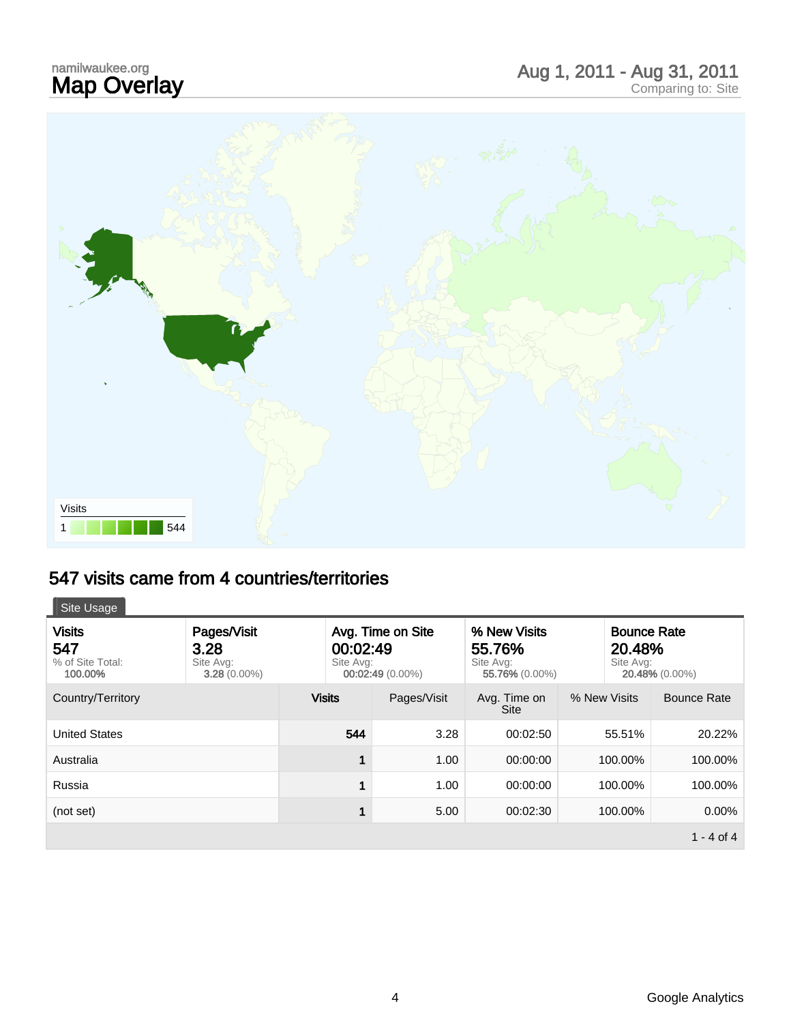# namilwaukee.org<br>**Map Overlay**



### 547 visits came from 4 countries/territories

| Site Usage                  |                             |
|-----------------------------|-----------------------------|
| <b>Visits</b>               | Pages/Visit                 |
| 547                         | 3.28                        |
| % of Site Total:<br>100.00% | Site Avg:<br>$3.28(0.00\%)$ |

| <b>Visits</b><br>547<br>% of Site Total:<br>100.00% | Pages/Visit<br>3.28<br>Site Avg:<br>$3.28(0.00\%)$ | 00:02:49<br>Site Avg: | Avg. Time on Site<br>$00:02:49(0.00\%)$ | % New Visits<br>55.76%<br>Site Avg:<br>55.76% (0.00%) | Site Avg:    | <b>Bounce Rate</b><br>20.48%<br>20.48% (0.00%) |
|-----------------------------------------------------|----------------------------------------------------|-----------------------|-----------------------------------------|-------------------------------------------------------|--------------|------------------------------------------------|
| Country/Territory                                   |                                                    | <b>Visits</b>         | Pages/Visit                             | Avg. Time on<br><b>Site</b>                           | % New Visits | <b>Bounce Rate</b>                             |
| <b>United States</b>                                |                                                    | 544                   | 3.28                                    | 00:02:50                                              | 55.51%       | 20.22%                                         |
| Australia                                           |                                                    | 1                     | 1.00                                    | 00:00:00                                              | 100.00%      | 100.00%                                        |
| Russia                                              |                                                    | 1                     | 1.00                                    | 00:00:00                                              | 100.00%      | 100.00%                                        |
| (not set)                                           |                                                    | 1                     | 5.00                                    | 00:02:30                                              | 100.00%      | $0.00\%$                                       |
|                                                     |                                                    |                       |                                         |                                                       |              | 1 - 4 of 4                                     |